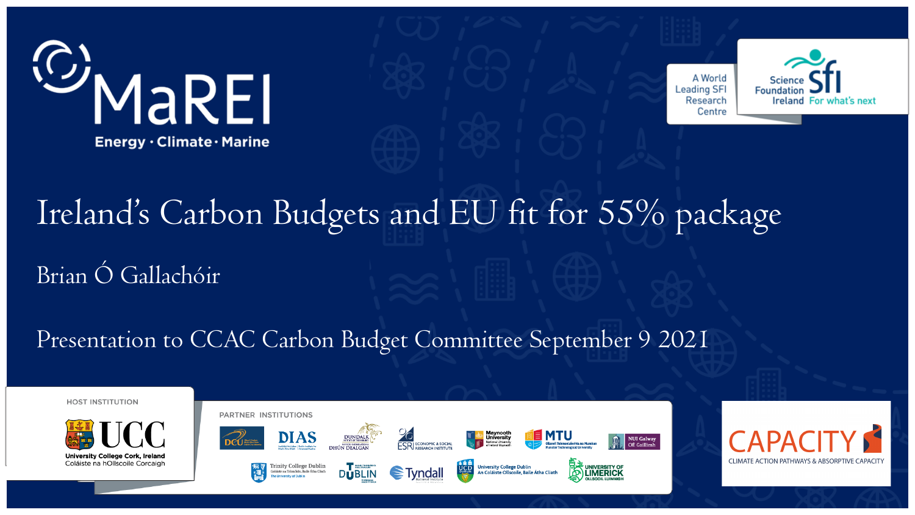



# Ireland's Carbon Budgets and EU fit for 55% package Brian Ó Gallachóir

#### Presentation to CCAC Carbon Budget Committee September 9 2021







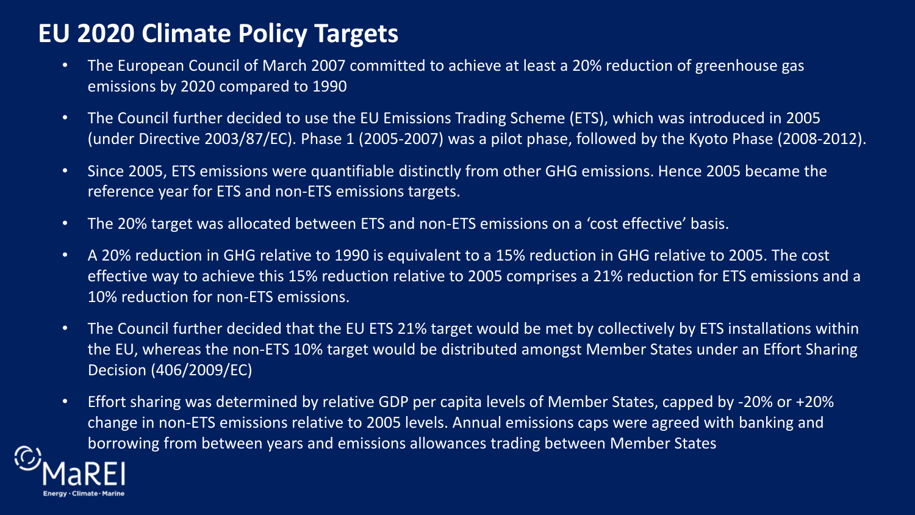# **EU 2020 Climate Policy Targets**

- The European Council of March 2007 committed to achieve at least a 20% reduction of greenhouse gas emissions by 2020 compared to 1990
- The Council further decided to use the EU Emissions Trading Scheme (ETS), which was introduced in 2005 (under Directive 2003/87/EC). Phase 1 (2005-2007) was a pilot phase, followed by the Kyoto Phase (2008-2012).
- Since 2005, ETS emissions were quantifiable distinctly from other GHG emissions. Hence 2005 became the reference year for ETS and non-ETS emissions targets.
- The 20% target was allocated between ETS and non-ETS emissions on a 'cost effective' basis.
- A 20% reduction in GHG relative to 1990 is equivalent to a 15% reduction in GHG relative to 2005. The cost effective way to achieve this 15% reduction relative to 2005 comprises a 21% reduction for ETS emissions and a 10% reduction for non-ETS emissions.
- The Council further decided that the EU ETS 21% target would be met by collectively by ETS installations within the EU, whereas the non-ETS 10% target would be distributed amongst Member States under an Effort Sharing Decision (406/2009/EC)
- Effort sharing was determined by relative GDP per capita levels of Member States, capped by -20% or +20% change in non-ETS emissions relative to 2005 levels. Annual emissions caps were agreed with banking and borrowing from between years and emissions allowances trading between Member States

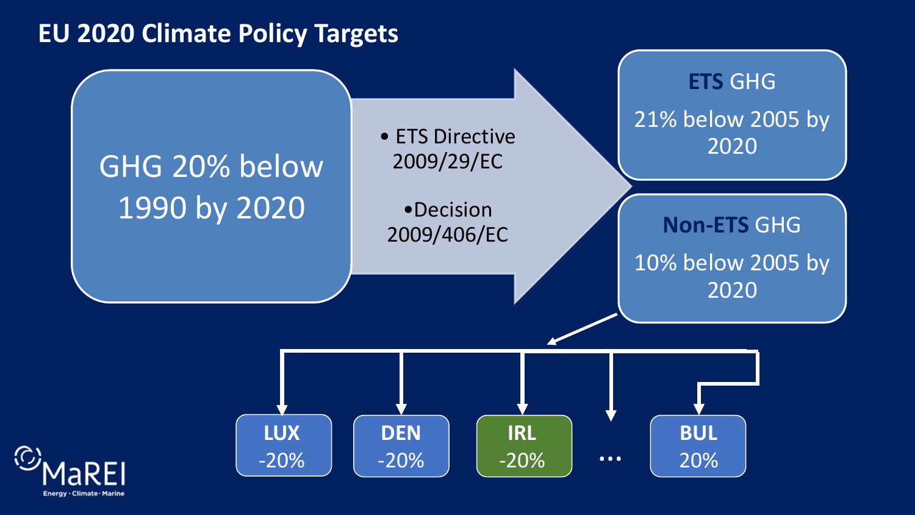#### **EU 2020 Climate Policy Targets**

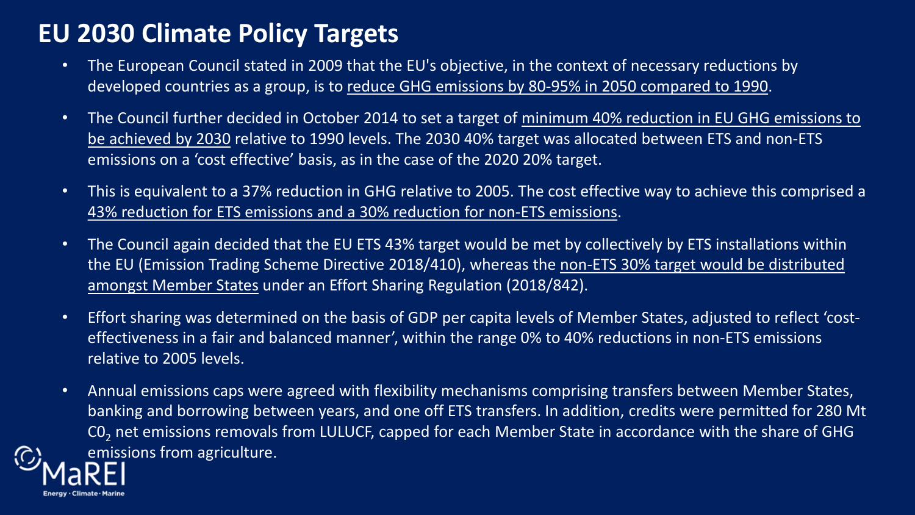# **EU 2030 Climate Policy Targets**

- The European Council stated in 2009 that the EU's objective, in the context of necessary reductions by developed countries as a group, is to reduce GHG emissions by 80-95% in 2050 compared to 1990.
- The Council further decided in October 2014 to set a target of minimum 40% reduction in EU GHG emissions to be achieved by 2030 relative to 1990 levels. The 2030 40% target was allocated between ETS and non-ETS emissions on a 'cost effective' basis, as in the case of the 2020 20% target.
- This is equivalent to a 37% reduction in GHG relative to 2005. The cost effective way to achieve this comprised a 43% reduction for ETS emissions and a 30% reduction for non-ETS emissions.
- The Council again decided that the EU ETS 43% target would be met by collectively by ETS installations within the EU (Emission Trading Scheme Directive 2018/410), whereas the non-ETS 30% target would be distributed amongst Member States under an Effort Sharing Regulation (2018/842).
- Effort sharing was determined on the basis of GDP per capita levels of Member States, adjusted to reflect 'costeffectiveness in a fair and balanced manner', within the range 0% to 40% reductions in non-ETS emissions relative to 2005 levels.
- Annual emissions caps were agreed with flexibility mechanisms comprising transfers between Member States, banking and borrowing between years, and one off ETS transfers. In addition, credits were permitted for 280 Mt CO<sub>2</sub> net emissions removals from LULUCF, capped for each Member State in accordance with the share of GHG emissions from agriculture.

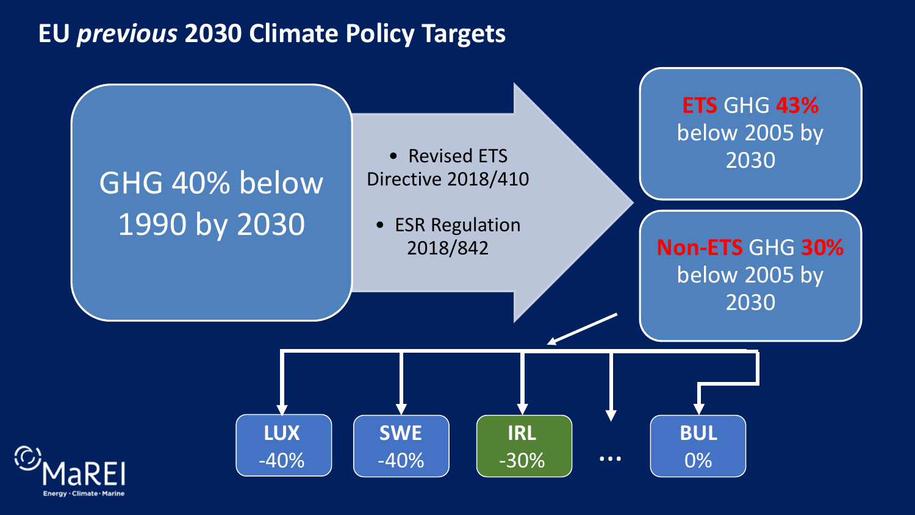#### **EU** *previous* **2030 Climate Policy Targets**

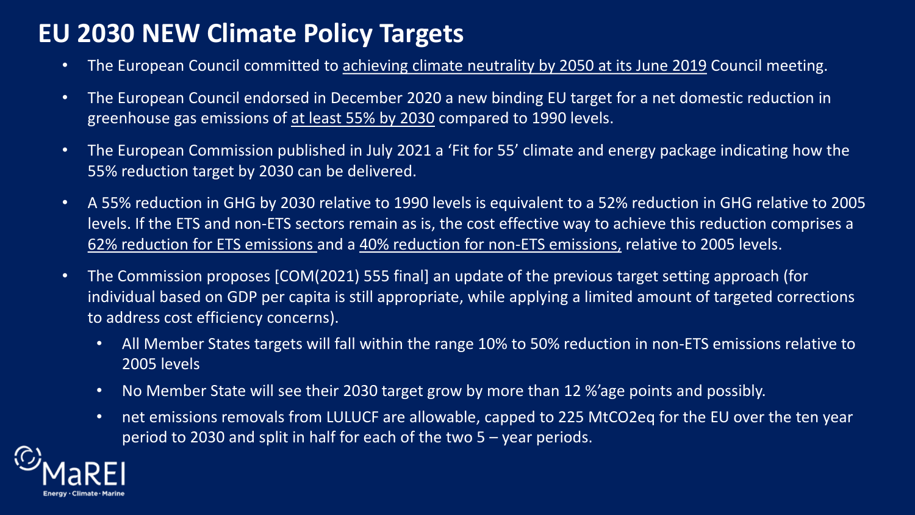# **EU 2030 NEW Climate Policy Targets**

- The European Council committed to achieving climate neutrality by 2050 at its June 2019 Council meeting.
- The European Council endorsed in December 2020 a new binding EU target for a net domestic reduction in greenhouse gas emissions of at least 55% by 2030 compared to 1990 levels.
- The European Commission published in July 2021 a 'Fit for 55' climate and energy package indicating how the 55% reduction target by 2030 can be delivered.
- A 55% reduction in GHG by 2030 relative to 1990 levels is equivalent to a 52% reduction in GHG relative to 2005 levels. If the ETS and non-ETS sectors remain as is, the cost effective way to achieve this reduction comprises a 62% reduction for ETS emissions and a 40% reduction for non-ETS emissions, relative to 2005 levels.
- The Commission proposes [COM(2021) 555 final] an update of the previous target setting approach (for individual based on GDP per capita is still appropriate, while applying a limited amount of targeted corrections to address cost efficiency concerns).
	- All Member States targets will fall within the range 10% to 50% reduction in non-ETS emissions relative to 2005 levels
	- No Member State will see their 2030 target grow by more than 12 %'age points and possibly.
	- net emissions removals from LULUCF are allowable, capped to 225 MtCO2eq for the EU over the ten year period to 2030 and split in half for each of the two 5 – year periods.

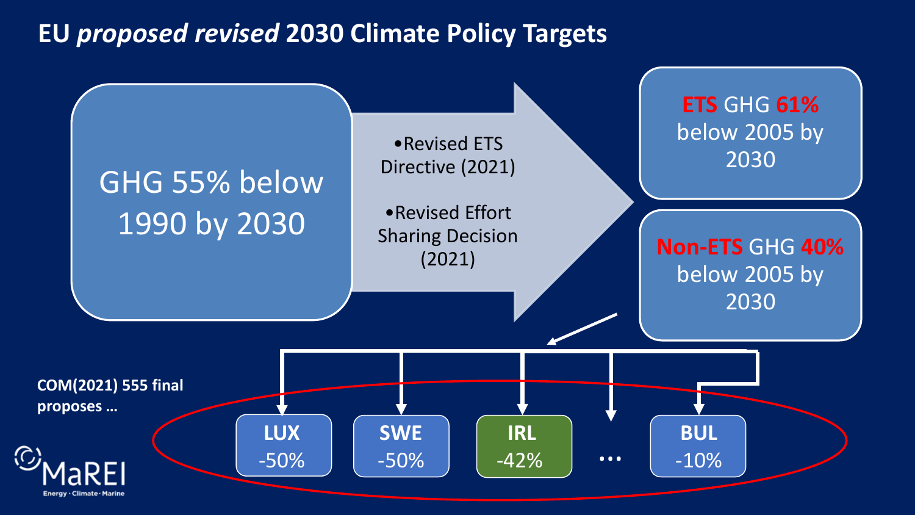#### **EU** *proposed revised* **2030 Climate Policy Targets**

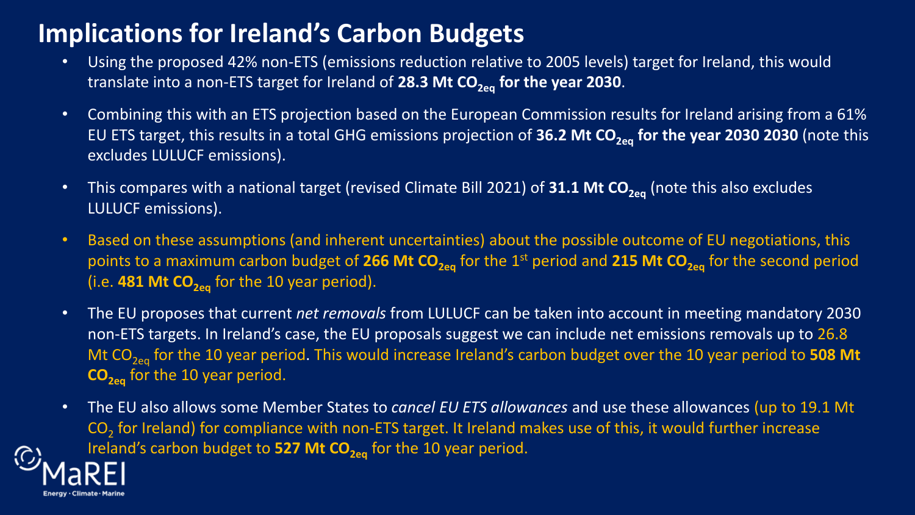## **Implications for Ireland's Carbon Budgets**

- Using the proposed 42% non-ETS (emissions reduction relative to 2005 levels) target for Ireland, this would translate into a non-ETS target for Ireland of 28.3 Mt CO<sub>2eq</sub> for the year 2030.
- Combining this with an ETS projection based on the European Commission results for Ireland arising from a 61% EU ETS target, this results in a total GHG emissions projection of 36.2 Mt CO<sub>2eq</sub> for the year 2030 2030 (note this excludes LULUCF emissions).
- This compares with a national target (revised Climate Bill 2021) of 31.1 Mt CO<sub>2eq</sub> (note this also excludes LULUCF emissions).
- Based on these assumptions (and inherent uncertainties) about the possible outcome of EU negotiations, this points to a maximum carbon budget of 266 Mt CO<sub>2eq</sub> for the 1<sup>st</sup> period and 215 Mt CO<sub>2eq</sub> for the second period (i.e.  $481$  Mt  $CO<sub>2ea</sub>$  for the 10 year period).
- The EU proposes that current *net removals* from LULUCF can be taken into account in meeting mandatory 2030 non-ETS targets. In Ireland's case, the EU proposals suggest we can include net emissions removals up to 26.8 Mt CO<sub>2eq</sub> for the 10 year period. This would increase Ireland's carbon budget over the 10 year period to 508 Mt **CO<sub>2eq</sub>** for the 10 year period.
- The EU also allows some Member States to *cancel EU ETS allowances* and use these allowances (up to 19.1 Mt  $CO<sub>2</sub>$  for Ireland) for compliance with non-ETS target. It Ireland makes use of this, it would further increase Ireland's carbon budget to 527 Mt CO<sub>2eq</sub> for the 10 year period.

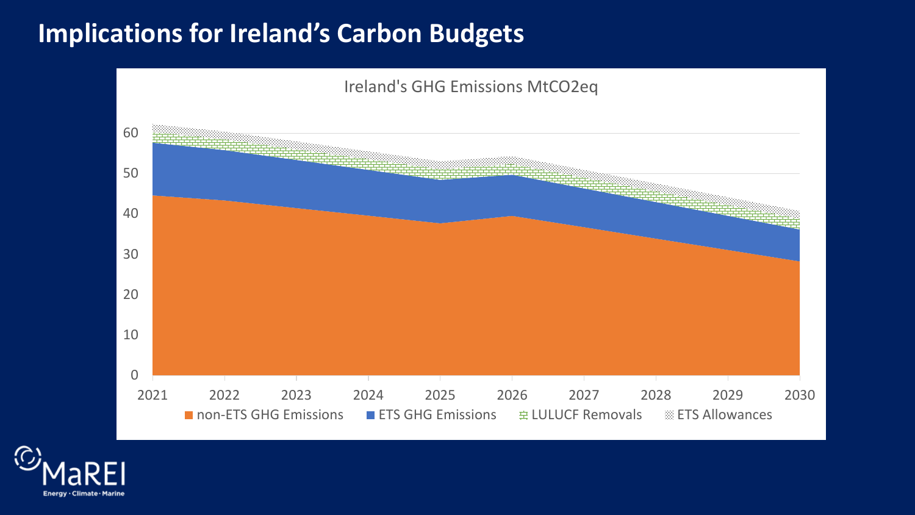#### **Implications for Ireland's Carbon Budgets**



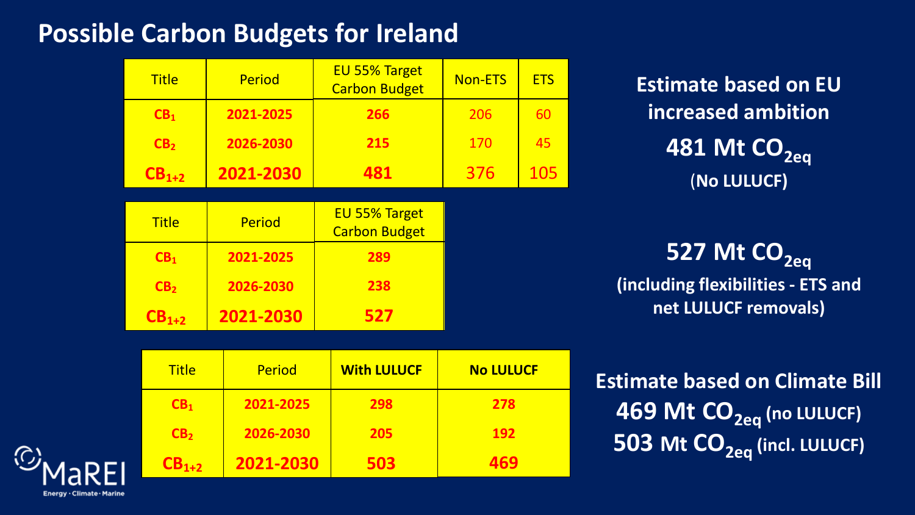# **Possible Carbon Budgets for Ireland**

Title | Period

**CB1 2021-2025**

| <b>Title</b>    | <b>Period</b> | EU 55% Target<br><b>Carbon Budget</b> | <b>Non-ETS</b> | <b>ETS</b> |
|-----------------|---------------|---------------------------------------|----------------|------------|
| CB <sub>1</sub> | 2021-2025     | 266                                   | 206            | 60         |
| CB <sub>2</sub> | 2026-2030     | 215                                   | 170            | 45         |
| $CB1+2$         | 2021-2030     | 481                                   | 376            | 105        |
|                 |               |                                       |                |            |
|                 |               |                                       |                |            |
| <b>Title</b>    | <b>Period</b> | EU 55% Target<br><b>Carbon Budget</b> |                |            |
| CB <sub>1</sub> | 2021-2025     | 289                                   |                |            |
| CB <sub>2</sub> | 2026-2030     | 238                                   |                |            |

**With LULUCF**

**No LULUCF**

**278**

**192**

**469**

**298**

**205**

**503**

**Estimate based on EU increased ambition 481 Mt CO<sub>2eq</sub>** (**No LULUCF)**

**527 Mt CO<sub>2eq</sub> (including flexibilities - ETS and net LULUCF removals)**

**Estimate based on Climate Bill 469 Mt CO<sub>2eq</sub> (no LULUCF) 503 Mt CO<sub>2eq</sub> (incl. LULUCF)** 

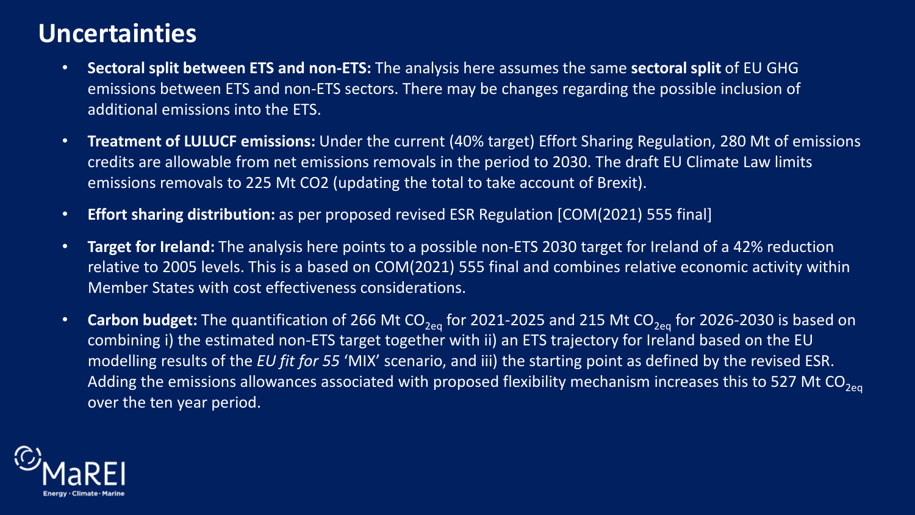## **Uncertainties**

- **Sectoral split between ETS and non-ETS:** The analysis here assumes the same **sectoral split** of EU GHG emissions between ETS and non-ETS sectors. There may be changes regarding the possible inclusion of additional emissions into the ETS.
- **Treatment of LULUCF emissions:** Under the current (40% target) Effort Sharing Regulation, 280 Mt of emissions credits are allowable from net emissions removals in the period to 2030. The draft EU Climate Law limits emissions removals to 225 Mt CO2 (updating the total to take account of Brexit).
- **Effort sharing distribution:** as per proposed revised ESR Regulation [COM(2021) 555 final]
- **Target for Ireland:** The analysis here points to a possible non-ETS 2030 target for Ireland of a 42% reduction relative to 2005 levels. This is a based on COM(2021) 555 final and combines relative economic activity within Member States with cost effectiveness considerations.
- **Carbon budget:** The quantification of 266 Mt CO<sub>2eq</sub> for 2021-2025 and 215 Mt CO<sub>2eq</sub> for 2026-2030 is based on combining i) the estimated non-ETS target together with ii) an ETS trajectory for Ireland based on the EU modelling results of the *EU fit for 55* 'MIX' scenario, and iii) the starting point as defined by the revised ESR. Adding the emissions allowances associated with proposed flexibility mechanism increases this to 527 Mt CO<sub>2eq</sub> over the ten year period.